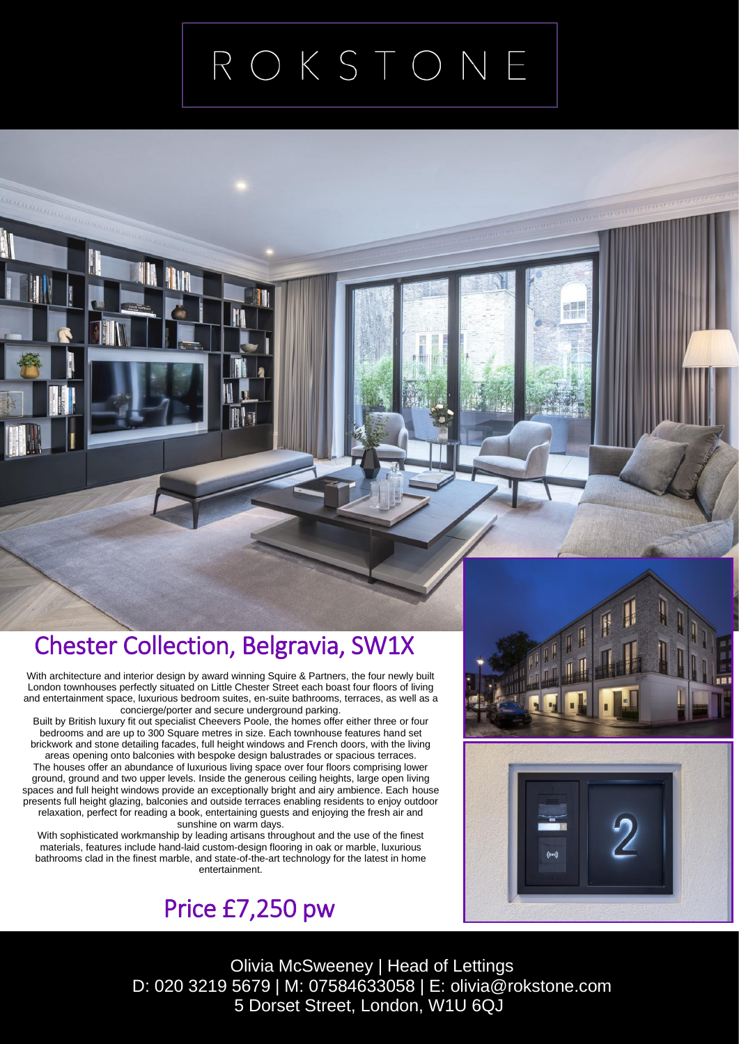## ROKSTONE

## Chester Collection, Belgravia, SW1X

 With architecture and interior design by award winning Squire & Partners, the four newly built London townhouses perfectly situated on Little Chester Street each boast four floors of living and entertainment space, luxurious bedroom suites, en-suite bathrooms, terraces, as well as a concierge/porter and secure underground parking.

Built by British luxury fit out specialist Cheevers Poole, the homes offer either three or four bedrooms and are up to 300 Square metres in size. Each townhouse features hand set brickwork and stone detailing facades, full height windows and French doors, with the living areas opening onto balconies with bespoke design balustrades or spacious terraces. The houses offer an abundance of luxurious living space over four floors comprising lower ground, ground and two upper levels. Inside the generous ceiling heights, large open living spaces and full height windows provide an exceptionally bright and airy ambience. Each house presents full height glazing, balconies and outside terraces enabling residents to enjoy outdoor relaxation, perfect for reading a book, entertaining guests and enjoying the fresh air and sunshine on warm days.

With sophisticated workmanship by leading artisans throughout and the use of the finest materials, features include hand-laid custom-design flooring in oak or marble, luxurious bathrooms clad in the finest marble, and state-of-the-art technology for the latest in home entertainment.

large entertaining area arranged as a living room and separate







Olivia McSweeney | Head of Lettings D: 020 3219 5679 | M: 07584633058 | E: olivia@rokstone.com 5 Dorset Street, London, W1U 6QJ  $\frac{1}{2}$  b. OZU JZT9 JOT9 | MI. OT JOH